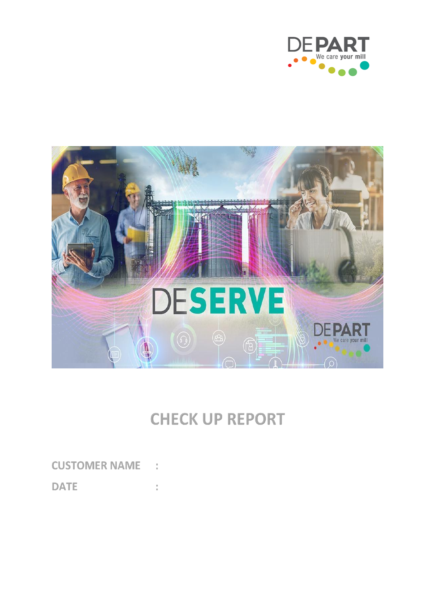



# **CHECK UP REPORT**

**CUSTOMER NAME:** 

**DATE** t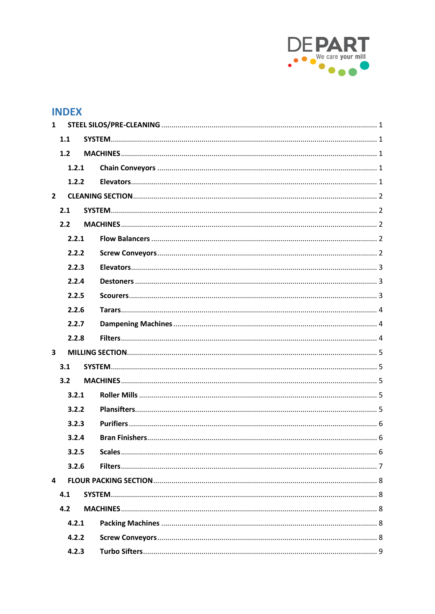

# **INDEX**

| $\mathbf{1}$            |       |  |  |
|-------------------------|-------|--|--|
| 1.1                     |       |  |  |
|                         | 1.2   |  |  |
|                         | 1.2.1 |  |  |
|                         | 1.2.2 |  |  |
| $\overline{2}$          |       |  |  |
|                         | 2.1   |  |  |
|                         | 2.2   |  |  |
|                         | 2.2.1 |  |  |
|                         | 2.2.2 |  |  |
|                         | 2.2.3 |  |  |
|                         | 2.2.4 |  |  |
|                         | 2.2.5 |  |  |
|                         | 2.2.6 |  |  |
|                         | 2.2.7 |  |  |
|                         | 2.2.8 |  |  |
| $\overline{\mathbf{3}}$ |       |  |  |
|                         | 3.1   |  |  |
|                         | 3.2   |  |  |
|                         | 3.2.1 |  |  |
|                         | 3.2.2 |  |  |
|                         | 3.2.3 |  |  |
|                         | 3.2.4 |  |  |
|                         | 3.2.5 |  |  |
|                         | 3.2.6 |  |  |
| 4                       |       |  |  |
|                         | 4.1   |  |  |
|                         | 4.2   |  |  |
|                         | 4.2.1 |  |  |
|                         | 4.2.2 |  |  |
|                         | 4.2.3 |  |  |
|                         |       |  |  |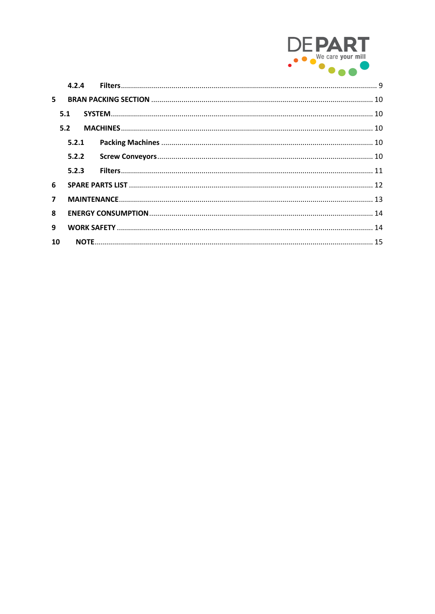

|                | 4.2.4 |  |  |  |
|----------------|-------|--|--|--|
| 5.             |       |  |  |  |
|                | 5.1   |  |  |  |
|                | 5.2   |  |  |  |
|                | 5.2.1 |  |  |  |
|                | 5.2.2 |  |  |  |
|                | 5.2.3 |  |  |  |
| 6              |       |  |  |  |
| $\overline{7}$ |       |  |  |  |
| 8              |       |  |  |  |
| 9              |       |  |  |  |
| 10             |       |  |  |  |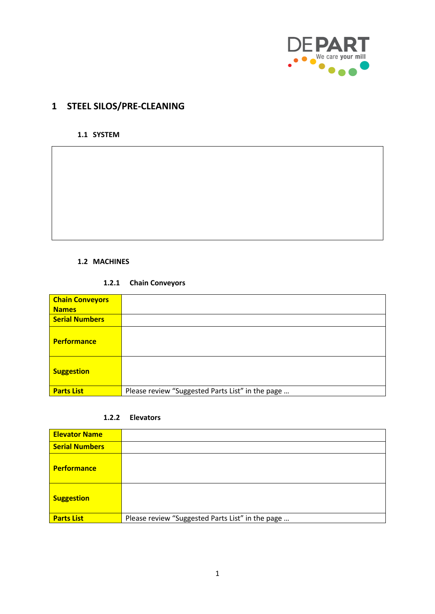

# <span id="page-3-0"></span>**1 STEEL SILOS/PRE-CLEANING**

#### <span id="page-3-1"></span>**1.1 SYSTEM**

#### <span id="page-3-2"></span>**1.2 MACHINES**

#### **1.2.1 Chain Conveyors**

<span id="page-3-3"></span>

| <b>Chain Conveyors</b> |                                                  |
|------------------------|--------------------------------------------------|
| <b>Names</b>           |                                                  |
| <b>Serial Numbers</b>  |                                                  |
| <b>Performance</b>     |                                                  |
| <b>Suggestion</b>      |                                                  |
| <b>Parts List</b>      | Please review "Suggested Parts List" in the page |

#### **1.2.2 Elevators**

<span id="page-3-4"></span>

| <b>Elevator Name</b>  |                                                  |
|-----------------------|--------------------------------------------------|
| <b>Serial Numbers</b> |                                                  |
| <b>Performance</b>    |                                                  |
| <b>Suggestion</b>     |                                                  |
| <b>Parts List</b>     | Please review "Suggested Parts List" in the page |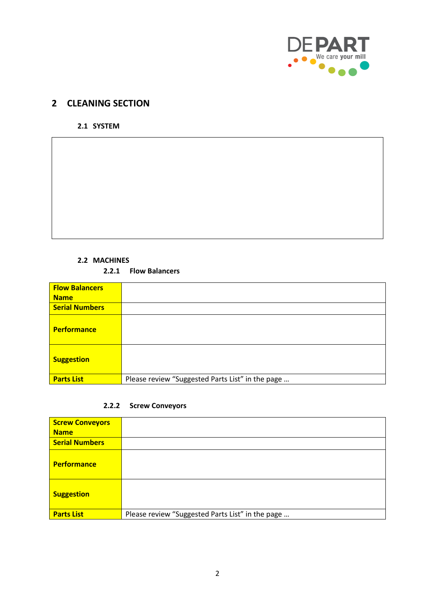

# <span id="page-4-1"></span><span id="page-4-0"></span>**2 CLEANING SECTION**

#### **2.1 SYSTEM**

#### **2.2 MACHINES**

#### **2.2.1 Flow Balancers**

<span id="page-4-3"></span><span id="page-4-2"></span>

| <b>Flow Balancers</b><br><b>Name</b> |                                                  |
|--------------------------------------|--------------------------------------------------|
| <b>Serial Numbers</b>                |                                                  |
| <b>Performance</b>                   |                                                  |
| <b>Suggestion</b>                    |                                                  |
| <b>Parts List</b>                    | Please review "Suggested Parts List" in the page |

#### **2.2.2 Screw Conveyors**

<span id="page-4-4"></span>

| <b>Screw Conveyors</b> |                                                  |
|------------------------|--------------------------------------------------|
| <b>Name</b>            |                                                  |
| <b>Serial Numbers</b>  |                                                  |
| <b>Performance</b>     |                                                  |
| <b>Suggestion</b>      |                                                  |
| <b>Parts List</b>      | Please review "Suggested Parts List" in the page |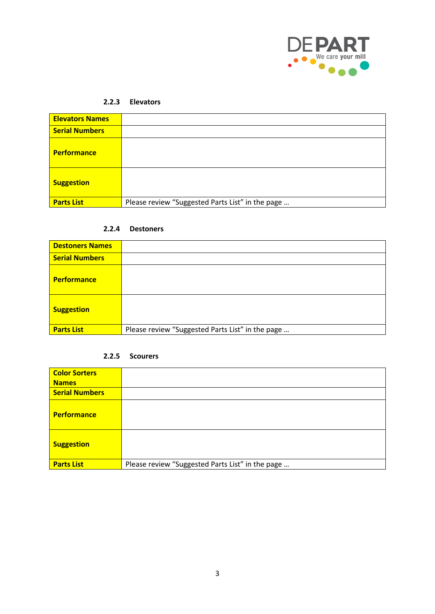

#### **2.2.3 Elevators**

<span id="page-5-0"></span>

| <b>Elevators Names</b> |                                                  |
|------------------------|--------------------------------------------------|
| <b>Serial Numbers</b>  |                                                  |
| <b>Performance</b>     |                                                  |
| <b>Suggestion</b>      |                                                  |
| <b>Parts List</b>      | Please review "Suggested Parts List" in the page |

#### **2.2.4 Destoners**

<span id="page-5-1"></span>

| <b>Destoners Names</b> |                                                  |
|------------------------|--------------------------------------------------|
| <b>Serial Numbers</b>  |                                                  |
| <b>Performance</b>     |                                                  |
| <b>Suggestion</b>      |                                                  |
| <b>Parts List</b>      | Please review "Suggested Parts List" in the page |

#### **2.2.5 Scourers**

<span id="page-5-2"></span>

| <b>Color Sorters</b>  |                                                  |
|-----------------------|--------------------------------------------------|
| <b>Names</b>          |                                                  |
| <b>Serial Numbers</b> |                                                  |
| <b>Performance</b>    |                                                  |
| <b>Suggestion</b>     |                                                  |
| <b>Parts List</b>     | Please review "Suggested Parts List" in the page |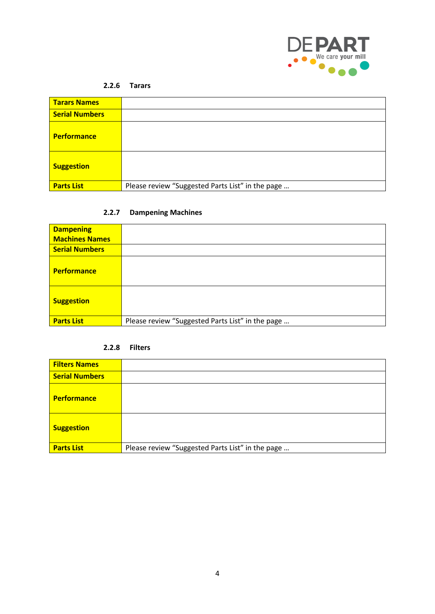

#### **2.2.6 Tarars**

<span id="page-6-0"></span>

| <b>Tarars Names</b>   |                                                  |
|-----------------------|--------------------------------------------------|
| <b>Serial Numbers</b> |                                                  |
| <b>Performance</b>    |                                                  |
| <b>Suggestion</b>     |                                                  |
| <b>Parts List</b>     | Please review "Suggested Parts List" in the page |

### **2.2.7 Dampening Machines**

<span id="page-6-1"></span>

| <b>Dampening</b>      |                                                  |
|-----------------------|--------------------------------------------------|
| <b>Machines Names</b> |                                                  |
| <b>Serial Numbers</b> |                                                  |
| <b>Performance</b>    |                                                  |
| <b>Suggestion</b>     |                                                  |
| <b>Parts List</b>     | Please review "Suggested Parts List" in the page |

#### **2.2.8 Filters**

<span id="page-6-2"></span>

| <b>Filters Names</b>  |                                                  |
|-----------------------|--------------------------------------------------|
| <b>Serial Numbers</b> |                                                  |
| <b>Performance</b>    |                                                  |
| <b>Suggestion</b>     |                                                  |
| <b>Parts List</b>     | Please review "Suggested Parts List" in the page |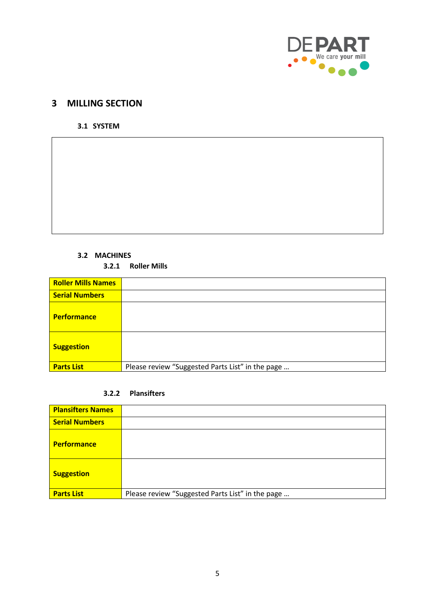

# <span id="page-7-1"></span><span id="page-7-0"></span>**3 MILLING SECTION**

**3.1 SYSTEM**

#### **3.2 MACHINES**

<span id="page-7-2"></span>**3.2.1 Roller Mills**

<span id="page-7-3"></span>

| <b>Roller Mills Names</b> |                                                  |
|---------------------------|--------------------------------------------------|
| <b>Serial Numbers</b>     |                                                  |
| <b>Performance</b>        |                                                  |
| <b>Suggestion</b>         |                                                  |
| <b>Parts List</b>         | Please review "Suggested Parts List" in the page |

#### **3.2.2 Plansifters**

<span id="page-7-4"></span>

| <b>Plansifters Names</b> |                                                  |
|--------------------------|--------------------------------------------------|
| <b>Serial Numbers</b>    |                                                  |
| <b>Performance</b>       |                                                  |
| <b>Suggestion</b>        |                                                  |
| <b>Parts List</b>        | Please review "Suggested Parts List" in the page |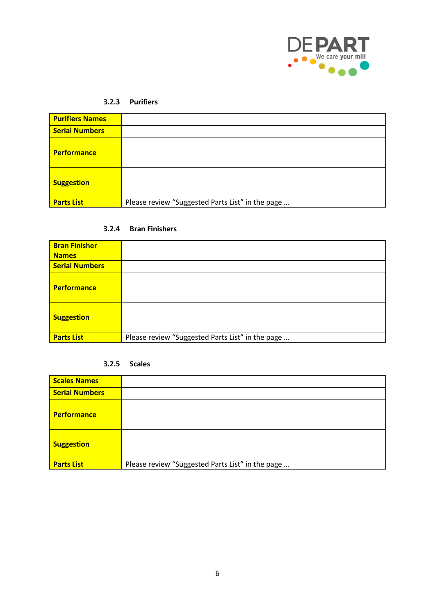

#### **3.2.3 Purifiers**

<span id="page-8-0"></span>

| <b>Purifiers Names</b> |                                                  |
|------------------------|--------------------------------------------------|
| <b>Serial Numbers</b>  |                                                  |
| <b>Performance</b>     |                                                  |
| <b>Suggestion</b>      |                                                  |
| <b>Parts List</b>      | Please review "Suggested Parts List" in the page |

#### **3.2.4 Bran Finishers**

<span id="page-8-1"></span>

| <b>Bran Finisher</b>  |                                                  |
|-----------------------|--------------------------------------------------|
| <b>Names</b>          |                                                  |
| <b>Serial Numbers</b> |                                                  |
| <b>Performance</b>    |                                                  |
| <b>Suggestion</b>     |                                                  |
| <b>Parts List</b>     | Please review "Suggested Parts List" in the page |

#### **3.2.5 Scales**

<span id="page-8-2"></span>

| <b>Scales Names</b>   |                                                  |
|-----------------------|--------------------------------------------------|
| <b>Serial Numbers</b> |                                                  |
| <b>Performance</b>    |                                                  |
| <b>Suggestion</b>     |                                                  |
| <b>Parts List</b>     | Please review "Suggested Parts List" in the page |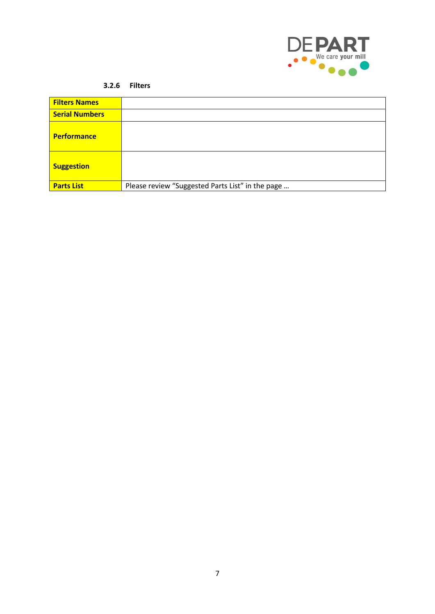

#### **3.2.6 Filters**

<span id="page-9-0"></span>

| <b>Filters Names</b>  |                                                  |
|-----------------------|--------------------------------------------------|
| <b>Serial Numbers</b> |                                                  |
| <b>Performance</b>    |                                                  |
| <b>Suggestion</b>     |                                                  |
| <b>Parts List</b>     | Please review "Suggested Parts List" in the page |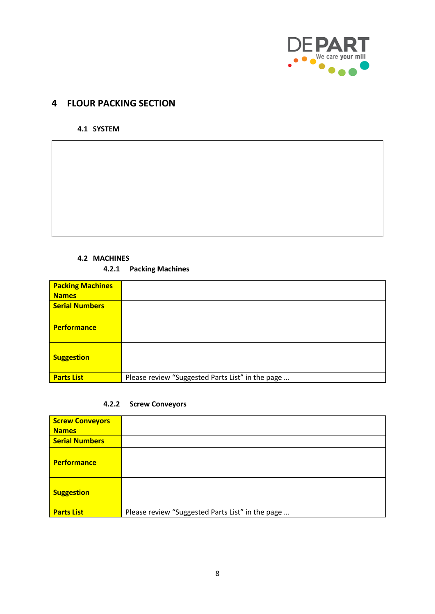

# <span id="page-10-0"></span>**4 FLOUR PACKING SECTION**

#### <span id="page-10-1"></span>**4.1 SYSTEM**

#### **4.2 MACHINES**

#### **4.2.1 Packing Machines**

<span id="page-10-3"></span><span id="page-10-2"></span>

| <b>Packing Machines</b><br><b>Names</b> |                                                  |
|-----------------------------------------|--------------------------------------------------|
| <b>Serial Numbers</b>                   |                                                  |
| <b>Performance</b>                      |                                                  |
| <b>Suggestion</b>                       |                                                  |
| <b>Parts List</b>                       | Please review "Suggested Parts List" in the page |

#### **4.2.2 Screw Conveyors**

<span id="page-10-4"></span>

| <b>Screw Conveyors</b> |                                                  |
|------------------------|--------------------------------------------------|
| <b>Names</b>           |                                                  |
| <b>Serial Numbers</b>  |                                                  |
| <b>Performance</b>     |                                                  |
| <b>Suggestion</b>      |                                                  |
| <b>Parts List</b>      | Please review "Suggested Parts List" in the page |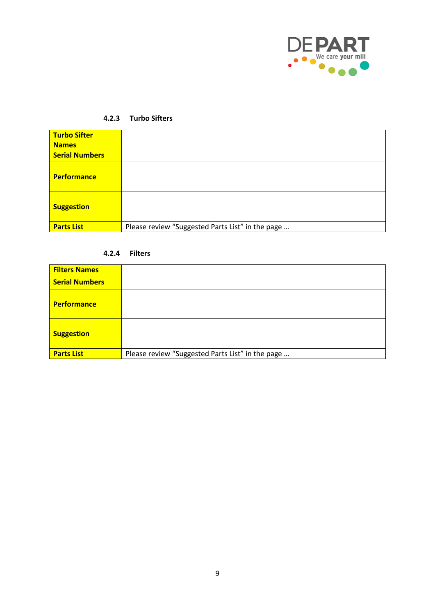

#### **4.2.3 Turbo Sifters**

<span id="page-11-0"></span>

| <b>Turbo Sifter</b><br><b>Names</b> |                                                  |
|-------------------------------------|--------------------------------------------------|
| <b>Serial Numbers</b>               |                                                  |
| <b>Performance</b>                  |                                                  |
| <b>Suggestion</b>                   |                                                  |
| <b>Parts List</b>                   | Please review "Suggested Parts List" in the page |

#### **4.2.4 Filters**

<span id="page-11-1"></span>

| <b>Filters Names</b>  |                                                  |
|-----------------------|--------------------------------------------------|
| <b>Serial Numbers</b> |                                                  |
| <b>Performance</b>    |                                                  |
| <b>Suggestion</b>     |                                                  |
| <b>Parts List</b>     | Please review "Suggested Parts List" in the page |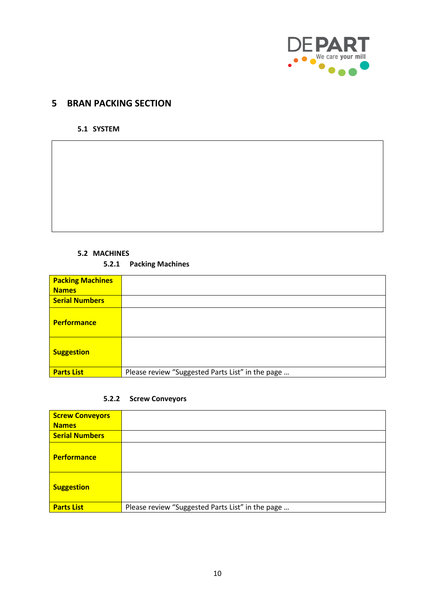

### <span id="page-12-1"></span><span id="page-12-0"></span>**5 BRAN PACKING SECTION**

**5.1 SYSTEM**

#### <span id="page-12-2"></span>**5.2 MACHINES**

#### **5.2.1 Packing Machines**

<span id="page-12-3"></span>

| <b>Packing Machines</b> |                                                  |
|-------------------------|--------------------------------------------------|
| <b>Names</b>            |                                                  |
| <b>Serial Numbers</b>   |                                                  |
| <b>Performance</b>      |                                                  |
| <b>Suggestion</b>       |                                                  |
| <b>Parts List</b>       | Please review "Suggested Parts List" in the page |

#### **5.2.2 Screw Conveyors**

<span id="page-12-4"></span>

| <b>Screw Conveyors</b> |                                                  |
|------------------------|--------------------------------------------------|
| <b>Names</b>           |                                                  |
| <b>Serial Numbers</b>  |                                                  |
| <b>Performance</b>     |                                                  |
| <b>Suggestion</b>      |                                                  |
| <b>Parts List</b>      | Please review "Suggested Parts List" in the page |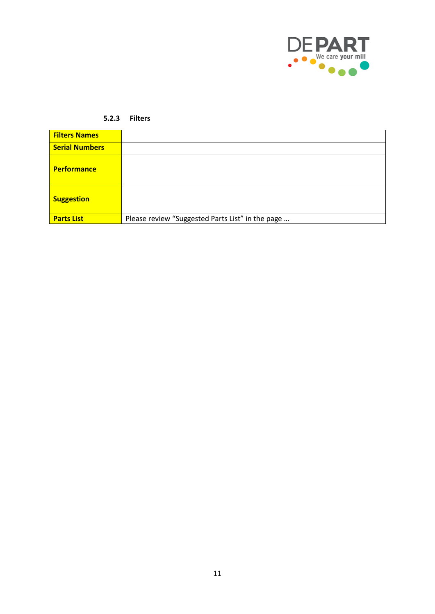

#### **5.2.3 Filters**

<span id="page-13-0"></span>

| <b>Filters Names</b>  |                                                  |
|-----------------------|--------------------------------------------------|
| <b>Serial Numbers</b> |                                                  |
| <b>Performance</b>    |                                                  |
| <b>Suggestion</b>     |                                                  |
| <b>Parts List</b>     | Please review "Suggested Parts List" in the page |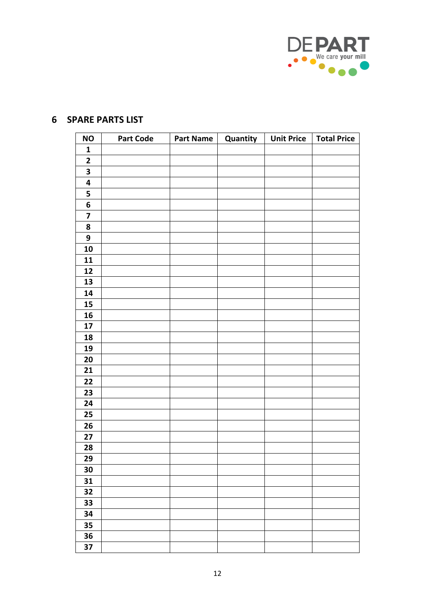

| <b>NO</b>               | <b>Part Code</b> | Part Name | Quantity | Unit Price   Total Price |  |
|-------------------------|------------------|-----------|----------|--------------------------|--|
| $\mathbf{1}$            |                  |           |          |                          |  |
| $\mathbf{2}$            |                  |           |          |                          |  |
| $\overline{\mathbf{3}}$ |                  |           |          |                          |  |
| $\overline{\mathbf{4}}$ |                  |           |          |                          |  |
| 5                       |                  |           |          |                          |  |
| $\boldsymbol{6}$        |                  |           |          |                          |  |
| $\overline{\mathbf{z}}$ |                  |           |          |                          |  |
| 8                       |                  |           |          |                          |  |
| 9                       |                  |           |          |                          |  |
| ${\bf 10}$              |                  |           |          |                          |  |
| ${\bf 11}$              |                  |           |          |                          |  |
| 12                      |                  |           |          |                          |  |
| 13                      |                  |           |          |                          |  |
| 14                      |                  |           |          |                          |  |
| 15                      |                  |           |          |                          |  |
| 16                      |                  |           |          |                          |  |
| $17\,$                  |                  |           |          |                          |  |
| 18                      |                  |           |          |                          |  |
| 19                      |                  |           |          |                          |  |
| 20                      |                  |           |          |                          |  |
| 21                      |                  |           |          |                          |  |
| 22                      |                  |           |          |                          |  |
| 23                      |                  |           |          |                          |  |
| 24                      |                  |           |          |                          |  |
| 25                      |                  |           |          |                          |  |
| 26                      |                  |           |          |                          |  |
| 27                      |                  |           |          |                          |  |
| 28                      |                  |           |          |                          |  |
| 29                      |                  |           |          |                          |  |
| 30                      |                  |           |          |                          |  |
| 31                      |                  |           |          |                          |  |
| 32                      |                  |           |          |                          |  |
| 33                      |                  |           |          |                          |  |
| 34                      |                  |           |          |                          |  |
| 35                      |                  |           |          |                          |  |
| 36                      |                  |           |          |                          |  |
| 37                      |                  |           |          |                          |  |

# <span id="page-14-0"></span>**SPARE PARTS LIST**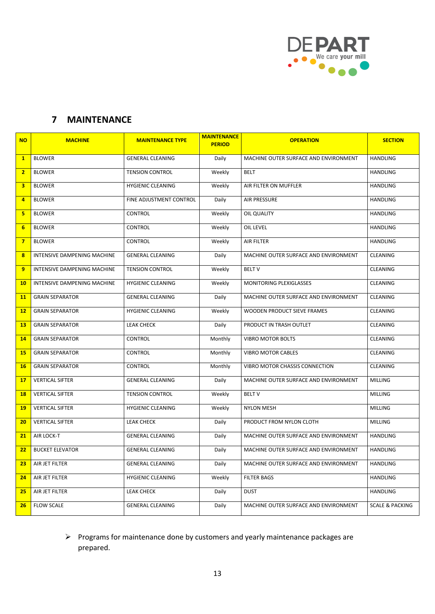

# <span id="page-15-0"></span>**MAINTENANCE**

| <b>NO</b>               | <b>MACHINE</b>              | <b>MAINTENANCE TYPE</b>  | <b>MAINTENANCE</b><br><b>PERIOD</b> | <b>OPERATION</b>                      | <b>SECTION</b>             |
|-------------------------|-----------------------------|--------------------------|-------------------------------------|---------------------------------------|----------------------------|
| $\mathbf{1}$            | <b>BLOWER</b>               | <b>GENERAL CLEANING</b>  | Daily                               | MACHINE OUTER SURFACE AND ENVIRONMENT | <b>HANDLING</b>            |
| $\overline{2}$          | <b>BLOWER</b>               | <b>TENSION CONTROL</b>   | Weekly                              | <b>BELT</b>                           | <b>HANDLING</b>            |
| 3                       | <b>BLOWER</b>               | <b>HYGIENIC CLEANING</b> | Weekly                              | AIR FILTER ON MUFFLER                 | HANDLING                   |
| $\overline{a}$          | <b>BLOWER</b>               | FINE ADJUSTMENT CONTROL  | Daily                               | <b>AIR PRESSURE</b>                   | HANDLING                   |
| 5                       | <b>BLOWER</b>               | CONTROL                  | Weekly                              | OIL QUALITY                           | HANDLING                   |
| 6                       | <b>BLOWER</b>               | CONTROL                  | Weekly                              | OIL LEVEL                             | <b>HANDLING</b>            |
| $\overline{\mathbf{z}}$ | <b>BLOWER</b>               | CONTROL                  | Weekly                              | <b>AIR FILTER</b>                     | HANDLING                   |
| 8                       | INTENSIVE DAMPENING MACHINE | <b>GENERAL CLEANING</b>  | Daily                               | MACHINE OUTER SURFACE AND ENVIRONMENT | <b>CLEANING</b>            |
| 9                       | INTENSIVE DAMPENING MACHINE | <b>TENSION CONTROL</b>   | Weekly                              | <b>BELT V</b>                         | <b>CLEANING</b>            |
| <b>10</b>               | INTENSIVE DAMPENING MACHINE | <b>HYGIENIC CLEANING</b> | Weekly                              | MONITORING PLEXIGLASSES               | <b>CLEANING</b>            |
| <b>11</b>               | <b>GRAIN SEPARATOR</b>      | <b>GENERAL CLEANING</b>  | Daily                               | MACHINE OUTER SURFACE AND ENVIRONMENT | <b>CLEANING</b>            |
| 12                      | <b>GRAIN SEPARATOR</b>      | <b>HYGIENIC CLEANING</b> | Weekly                              | WOODEN PRODUCT SIEVE FRAMES           | <b>CLEANING</b>            |
| <b>13</b>               | <b>GRAIN SEPARATOR</b>      | LEAK CHECK               | Daily                               | PRODUCT IN TRASH OUTLET               | <b>CLEANING</b>            |
| 14                      | <b>GRAIN SEPARATOR</b>      | CONTROL                  | Monthly                             | <b>VIBRO MOTOR BOLTS</b>              | CLEANING                   |
| <b>15</b>               | <b>GRAIN SEPARATOR</b>      | CONTROL                  | Monthly                             | <b>VIBRO MOTOR CABLES</b>             | CLEANING                   |
| <b>16</b>               | <b>GRAIN SEPARATOR</b>      | CONTROL                  | Monthly                             | VIBRO MOTOR CHASSIS CONNECTION        | <b>CLEANING</b>            |
| 17                      | <b>VERTICAL SIFTER</b>      | <b>GENERAL CLEANING</b>  | Daily                               | MACHINE OUTER SURFACE AND ENVIRONMENT | <b>MILLING</b>             |
| <b>18</b>               | <b>VERTICAL SIFTER</b>      | <b>TENSION CONTROL</b>   | Weekly                              | <b>BELT V</b>                         | MILLING                    |
| <b>19</b>               | <b>VERTICAL SIFTER</b>      | <b>HYGIENIC CLEANING</b> | Weekly                              | <b>NYLON MESH</b>                     | <b>MILLING</b>             |
| 20                      | <b>VERTICAL SIFTER</b>      | LEAK CHECK               | Daily                               | PRODUCT FROM NYLON CLOTH              | <b>MILLING</b>             |
| 21                      | AIR LOCK-T                  | <b>GENERAL CLEANING</b>  | Daily                               | MACHINE OUTER SURFACE AND ENVIRONMENT | <b>HANDLING</b>            |
| 22                      | <b>BUCKET ELEVATOR</b>      | <b>GENERAL CLEANING</b>  | Daily                               | MACHINE OUTER SURFACE AND ENVIRONMENT | <b>HANDLING</b>            |
| 23                      | AIR JET FILTER              | <b>GENERAL CLEANING</b>  | Daily                               | MACHINE OUTER SURFACE AND ENVIRONMENT | HANDLING                   |
| 24                      | AIR JET FILTER              | <b>HYGIENIC CLEANING</b> | Weekly                              | <b>FILTER BAGS</b>                    | <b>HANDLING</b>            |
| 25                      | AIR JET FILTER              | <b>LEAK CHECK</b>        | Daily                               | <b>DUST</b>                           | <b>HANDLING</b>            |
| 26                      | <b>FLOW SCALE</b>           | <b>GENERAL CLEANING</b>  | Daily                               | MACHINE OUTER SURFACE AND ENVIRONMENT | <b>SCALE &amp; PACKING</b> |

### ➢ Programs for maintenance done by customers and yearly maintenance packages are prepared.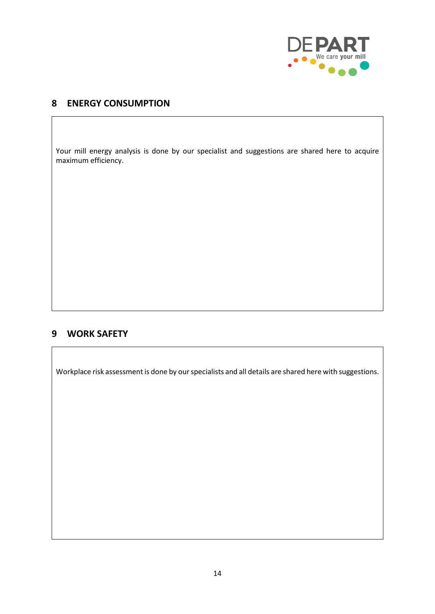

### <span id="page-16-0"></span>**8 ENERGY CONSUMPTION**

Your mill energy analysis is done by our specialist and suggestions are shared here to acquire maximum efficiency.

### <span id="page-16-1"></span>**9 WORK SAFETY**

Workplace risk assessment is done by our specialists and all details are shared here with suggestions.